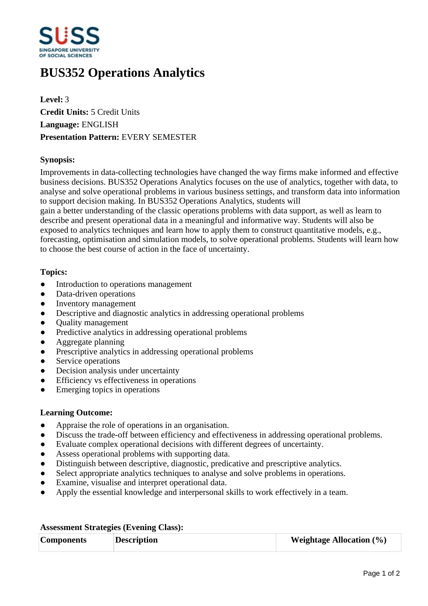

# **BUS352 Operations Analytics**

**Level:** 3 **Credit Units:** 5 Credit Units **Language:** ENGLISH **Presentation Pattern:** EVERY SEMESTER

## **Synopsis:**

Improvements in data-collecting technologies have changed the way firms make informed and effective business decisions. BUS352 Operations Analytics focuses on the use of analytics, together with data, to analyse and solve operational problems in various business settings, and transform data into information to support decision making. In BUS352 Operations Analytics, students will

gain a better understanding of the classic operations problems with data support, as well as learn to describe and present operational data in a meaningful and informative way. Students will also be exposed to analytics techniques and learn how to apply them to construct quantitative models, e.g., forecasting, optimisation and simulation models, to solve operational problems. Students will learn how to choose the best course of action in the face of uncertainty.

#### **Topics:**

- Introduction to operations management
- Data-driven operations
- Inventory management
- Descriptive and diagnostic analytics in addressing operational problems
- Ouality management
- Predictive analytics in addressing operational problems
- Aggregate planning
- Prescriptive analytics in addressing operational problems
- Service operations
- Decision analysis under uncertainty
- ƔEfficiency vs effectiveness in operations
- Emerging topics in operations

#### **Learning Outcome:**

- Appraise the role of operations in an organisation.
- Discuss the trade-off between efficiency and effectiveness in addressing operational problems.
- Evaluate complex operational decisions with different degrees of uncertainty.
- Assess operational problems with supporting data.
- ƔDistinguish between descriptive, diagnostic, predicative and prescriptive analytics.
- Select appropriate analytics techniques to analyse and solve problems in operations.
- Examine, visualise and interpret operational data.
- Apply the essential knowledge and interpersonal skills to work effectively in a team.

| <b>Components</b> | <b>Description</b> | <b>Weightage Allocation</b> $(\%)$ |
|-------------------|--------------------|------------------------------------|

## **Assessment Strategies (Evening Class):**